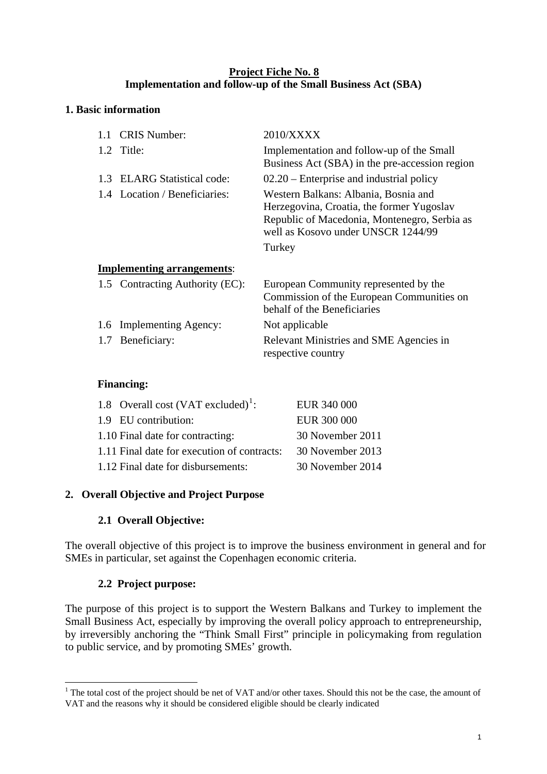#### **Project Fiche No. 8 Implementation and follow-up of the Small Business Act (SBA)**

#### **1. Basic information**

|     | 1.1 CRIS Number:                  | 2010/XXXX                                                                                                                                                                         |
|-----|-----------------------------------|-----------------------------------------------------------------------------------------------------------------------------------------------------------------------------------|
|     | 1.2 Title:                        | Implementation and follow-up of the Small<br>Business Act (SBA) in the pre-accession region                                                                                       |
| 1.3 | ELARG Statistical code:           | $02.20$ – Enterprise and industrial policy                                                                                                                                        |
|     | 1.4 Location / Beneficiaries:     | Western Balkans: Albania, Bosnia and<br>Herzegovina, Croatia, the former Yugoslav<br>Republic of Macedonia, Montenegro, Serbia as<br>well as Kosovo under UNSCR 1244/99<br>Turkey |
|     | <b>Implementing arrangements:</b> |                                                                                                                                                                                   |
|     | 1.5 Contracting Authority (EC):   | European Community represented by the<br>Commission of the European Communities on<br>behalf of the Beneficiaries                                                                 |
|     | 1.6 Implementing Agency:          | Not applicable                                                                                                                                                                    |
|     | 1.7 Beneficiary:                  | Relevant Ministries and SME Agencies in<br>respective country                                                                                                                     |
|     |                                   |                                                                                                                                                                                   |

#### **Financing:**

| 1.8 Overall cost $(VAT excluded)^1$ :       | EUR 340 000      |
|---------------------------------------------|------------------|
| 1.9 EU contribution:                        | EUR 300 000      |
| 1.10 Final date for contracting:            | 30 November 2011 |
| 1.11 Final date for execution of contracts: | 30 November 2013 |
| 1.12 Final date for disbursements:          | 30 November 2014 |

## **2. Overall Objective and Project Purpose**

## **2.1 Overall Objective:**

The overall objective of this project is to improve the business environment in general and for SMEs in particular, set against the Copenhagen economic criteria.

## **2.2 Project purpose:**

The purpose of this project is to support the Western Balkans and Turkey to implement the Small Business Act, especially by improving the overall policy approach to entrepreneurship, by irreversibly anchoring the "Think Small First" principle in policymaking from regulation to public service, and by promoting SMEs' growth.

<span id="page-0-0"></span><sup>&</sup>lt;u>.</u> <sup>1</sup> The total cost of the project should be net of VAT and/or other taxes. Should this not be the case, the amount of VAT and the reasons why it should be considered eligible should be clearly indicated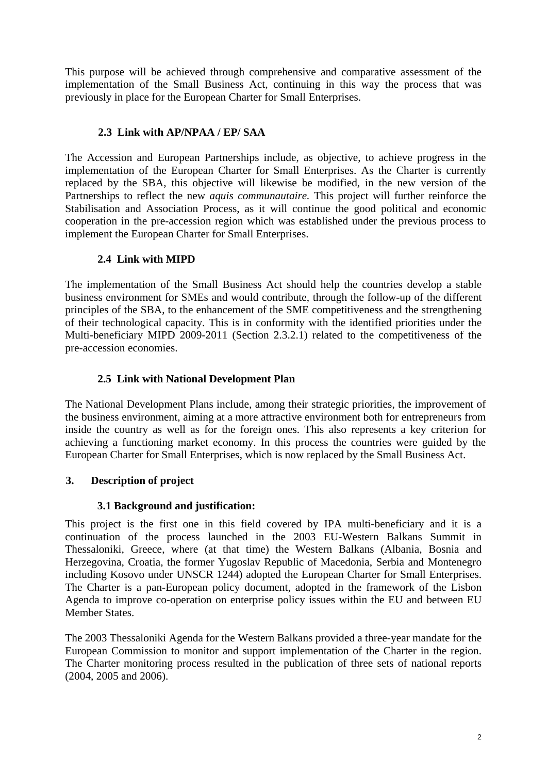This purpose will be achieved through comprehensive and comparative assessment of the implementation of the Small Business Act, continuing in this way the process that was previously in place for the European Charter for Small Enterprises.

## **2.3 Link with AP/NPAA / EP/ SAA**

The Accession and European Partnerships include, as objective, to achieve progress in the implementation of the European Charter for Small Enterprises. As the Charter is currently replaced by the SBA, this objective will likewise be modified, in the new version of the Partnerships to reflect the new *aquis communautaire.* This project will further reinforce the Stabilisation and Association Process, as it will continue the good political and economic cooperation in the pre-accession region which was established under the previous process to implement the European Charter for Small Enterprises.

## **2.4 Link with MIPD**

The implementation of the Small Business Act should help the countries develop a stable business environment for SMEs and would contribute, through the follow-up of the different principles of the SBA, to the enhancement of the SME competitiveness and the strengthening of their technological capacity. This is in conformity with the identified priorities under the Multi-beneficiary MIPD 2009-2011 (Section 2.3.2.1) related to the competitiveness of the pre-accession economies.

## **2.5 Link with National Development Plan**

The National Development Plans include, among their strategic priorities, the improvement of the business environment, aiming at a more attractive environment both for entrepreneurs from inside the country as well as for the foreign ones. This also represents a key criterion for achieving a functioning market economy. In this process the countries were guided by the European Charter for Small Enterprises, which is now replaced by the Small Business Act.

## **3. Description of project**

## **3.1 Background and justification:**

This project is the first one in this field covered by IPA multi-beneficiary and it is a continuation of the process launched in the 2003 EU-Western Balkans Summit in Thessaloniki, Greece, where (at that time) the Western Balkans (Albania, Bosnia and Herzegovina, Croatia, the former Yugoslav Republic of Macedonia, Serbia and Montenegro including Kosovo under UNSCR 1244) adopted the European Charter for Small Enterprises. The Charter is a pan-European policy document, adopted in the framework of the Lisbon Agenda to improve co-operation on enterprise policy issues within the EU and between EU Member States.

The 2003 Thessaloniki Agenda for the Western Balkans provided a three-year mandate for the European Commission to monitor and support implementation of the Charter in the region. The Charter monitoring process resulted in the publication of three sets of national reports (2004, 2005 and 2006).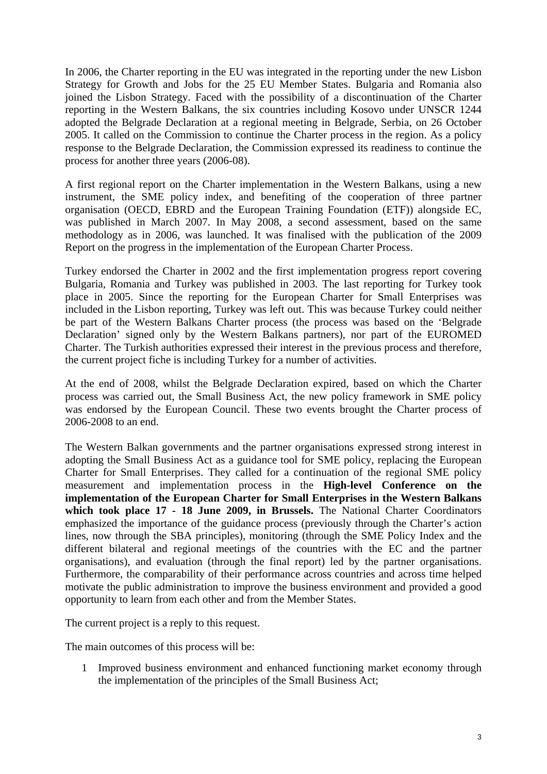In 2006, the Charter reporting in the EU was integrated in the reporting under the new Lisbon Strategy for Growth and Jobs for the 25 EU Member States. Bulgaria and Romania also joined the Lisbon Strategy. Faced with the possibility of a discontinuation of the Charter reporting in the Western Balkans, the six countries including Kosovo under UNSCR 1244 adopted the Belgrade Declaration at a regional meeting in Belgrade, Serbia, on 26 October 2005. It called on the Commission to continue the Charter process in the region. As a policy response to the Belgrade Declaration, the Commission expressed its readiness to continue the process for another three years (2006-08).

A first regional report on the Charter implementation in the Western Balkans, using a new instrument, the SME policy index, and benefiting of the cooperation of three partner organisation (OECD, EBRD and the European Training Foundation (ETF)) alongside EC, was published in March 2007. In May 2008, a second assessment, based on the same methodology as in 2006, was launched. It was finalised with the publication of the 2009 Report on the progress in the implementation of the European Charter Process.

Turkey endorsed the Charter in 2002 and the first implementation progress report covering Bulgaria, Romania and Turkey was published in 2003. The last reporting for Turkey took place in 2005. Since the reporting for the European Charter for Small Enterprises was included in the Lisbon reporting, Turkey was left out. This was because Turkey could neither be part of the Western Balkans Charter process (the process was based on the 'Belgrade Declaration' signed only by the Western Balkans partners), nor part of the EUROMED Charter. The Turkish authorities expressed their interest in the previous process and therefore, the current project fiche is including Turkey for a number of activities.

At the end of 2008, whilst the Belgrade Declaration expired, based on which the Charter process was carried out, the Small Business Act, the new policy framework in SME policy was endorsed by the European Council. These two events brought the Charter process of 2006-2008 to an end.

The Western Balkan governments and the partner organisations expressed strong interest in adopting the Small Business Act as a guidance tool for SME policy, replacing the European Charter for Small Enterprises. They called for a continuation of the regional SME policy measurement and implementation process in the **High-level Conference on the implementation of the European Charter for Small Enterprises in the Western Balkans which took place 17 - 18 June 2009, in Brussels.** The National Charter Coordinators emphasized the importance of the guidance process (previously through the Charter's action lines, now through the SBA principles), monitoring (through the SME Policy Index and the different bilateral and regional meetings of the countries with the EC and the partner organisations), and evaluation (through the final report) led by the partner organisations. Furthermore, the comparability of their performance across countries and across time helped motivate the public administration to improve the business environment and provided a good opportunity to learn from each other and from the Member States.

The current project is a reply to this request.

The main outcomes of this process will be:

1 Improved business environment and enhanced functioning market economy through the implementation of the principles of the Small Business Act;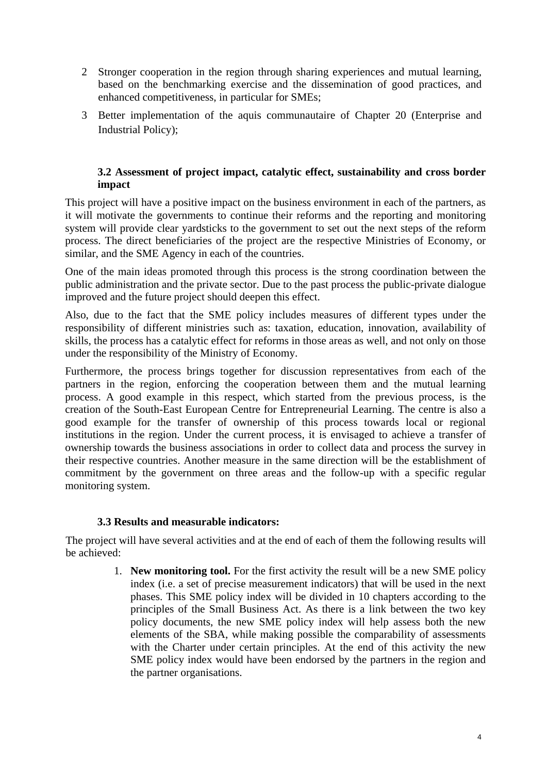- 2 Stronger cooperation in the region through sharing experiences and mutual learning, based on the benchmarking exercise and the dissemination of good practices, and enhanced competitiveness, in particular for SMEs;
- 3 Better implementation of the aquis communautaire of Chapter 20 (Enterprise and Industrial Policy);

#### **3.2 Assessment of project impact, catalytic effect, sustainability and cross border impact**

This project will have a positive impact on the business environment in each of the partners, as it will motivate the governments to continue their reforms and the reporting and monitoring system will provide clear yardsticks to the government to set out the next steps of the reform process. The direct beneficiaries of the project are the respective Ministries of Economy, or similar, and the SME Agency in each of the countries.

One of the main ideas promoted through this process is the strong coordination between the public administration and the private sector. Due to the past process the public-private dialogue improved and the future project should deepen this effect.

Also, due to the fact that the SME policy includes measures of different types under the responsibility of different ministries such as: taxation, education, innovation, availability of skills, the process has a catalytic effect for reforms in those areas as well, and not only on those under the responsibility of the Ministry of Economy.

Furthermore, the process brings together for discussion representatives from each of the partners in the region, enforcing the cooperation between them and the mutual learning process. A good example in this respect, which started from the previous process, is the creation of the South-East European Centre for Entrepreneurial Learning. The centre is also a good example for the transfer of ownership of this process towards local or regional institutions in the region. Under the current process, it is envisaged to achieve a transfer of ownership towards the business associations in order to collect data and process the survey in their respective countries. Another measure in the same direction will be the establishment of commitment by the government on three areas and the follow-up with a specific regular monitoring system.

#### **3.3 Results and measurable indicators:**

The project will have several activities and at the end of each of them the following results will be achieved:

> 1. **New monitoring tool.** For the first activity the result will be a new SME policy index (i.e. a set of precise measurement indicators) that will be used in the next phases. This SME policy index will be divided in 10 chapters according to the principles of the Small Business Act. As there is a link between the two key policy documents, the new SME policy index will help assess both the new elements of the SBA, while making possible the comparability of assessments with the Charter under certain principles. At the end of this activity the new SME policy index would have been endorsed by the partners in the region and the partner organisations.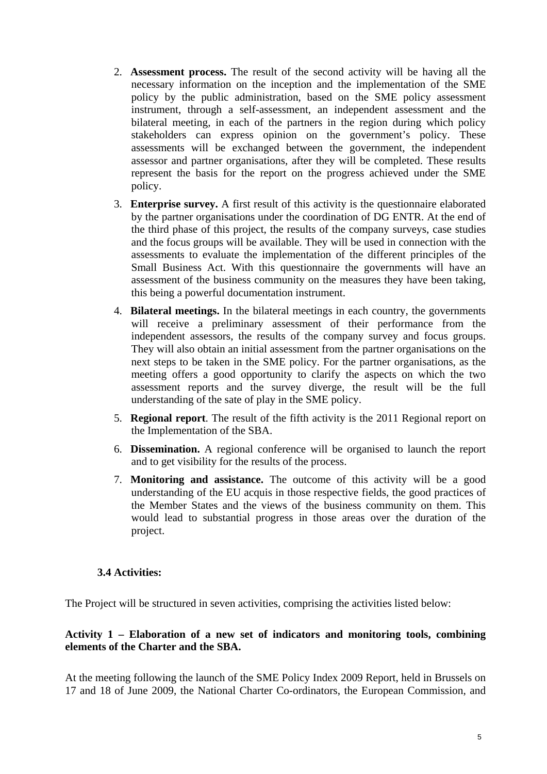- 2. **Assessment process.** The result of the second activity will be having all the necessary information on the inception and the implementation of the SME policy by the public administration, based on the SME policy assessment instrument, through a self-assessment, an independent assessment and the bilateral meeting, in each of the partners in the region during which policy stakeholders can express opinion on the government's policy. These assessments will be exchanged between the government, the independent assessor and partner organisations, after they will be completed. These results represent the basis for the report on the progress achieved under the SME policy.
- 3. **Enterprise survey.** A first result of this activity is the questionnaire elaborated by the partner organisations under the coordination of DG ENTR. At the end of the third phase of this project, the results of the company surveys, case studies and the focus groups will be available. They will be used in connection with the assessments to evaluate the implementation of the different principles of the Small Business Act. With this questionnaire the governments will have an assessment of the business community on the measures they have been taking, this being a powerful documentation instrument.
- 4. **Bilateral meetings.** In the bilateral meetings in each country, the governments will receive a preliminary assessment of their performance from the independent assessors, the results of the company survey and focus groups. They will also obtain an initial assessment from the partner organisations on the next steps to be taken in the SME policy. For the partner organisations, as the meeting offers a good opportunity to clarify the aspects on which the two assessment reports and the survey diverge, the result will be the full understanding of the sate of play in the SME policy.
- 5. **Regional report**. The result of the fifth activity is the 2011 Regional report on the Implementation of the SBA.
- 6. **Dissemination.** A regional conference will be organised to launch the report and to get visibility for the results of the process.
- 7. **Monitoring and assistance.** The outcome of this activity will be a good understanding of the EU acquis in those respective fields, the good practices of the Member States and the views of the business community on them. This would lead to substantial progress in those areas over the duration of the project.

#### **3.4 Activities:**

The Project will be structured in seven activities, comprising the activities listed below:

#### **Activity 1 – Elaboration of a new set of indicators and monitoring tools, combining elements of the Charter and the SBA.**

At the meeting following the launch of the SME Policy Index 2009 Report, held in Brussels on 17 and 18 of June 2009, the National Charter Co-ordinators, the European Commission, and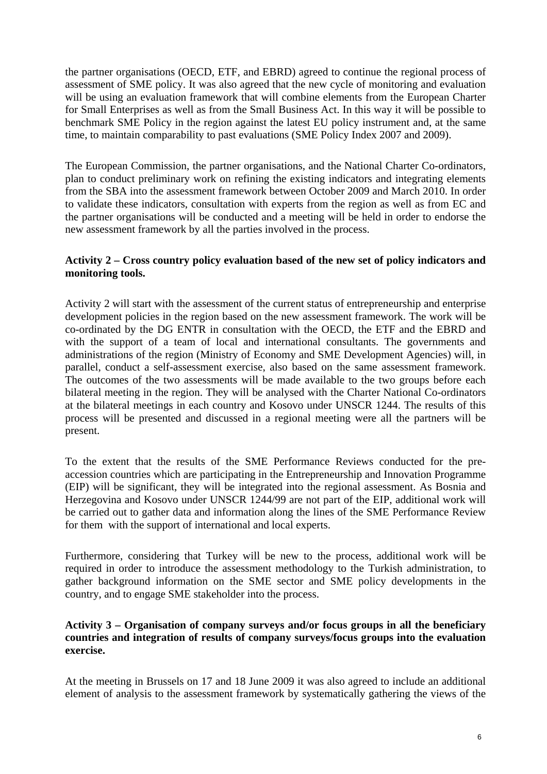the partner organisations (OECD, ETF, and EBRD) agreed to continue the regional process of assessment of SME policy. It was also agreed that the new cycle of monitoring and evaluation will be using an evaluation framework that will combine elements from the European Charter for Small Enterprises as well as from the Small Business Act. In this way it will be possible to benchmark SME Policy in the region against the latest EU policy instrument and, at the same time, to maintain comparability to past evaluations (SME Policy Index 2007 and 2009).

The European Commission, the partner organisations, and the National Charter Co-ordinators, plan to conduct preliminary work on refining the existing indicators and integrating elements from the SBA into the assessment framework between October 2009 and March 2010. In order to validate these indicators, consultation with experts from the region as well as from EC and the partner organisations will be conducted and a meeting will be held in order to endorse the new assessment framework by all the parties involved in the process.

#### **Activity 2 – Cross country policy evaluation based of the new set of policy indicators and monitoring tools.**

Activity 2 will start with the assessment of the current status of entrepreneurship and enterprise development policies in the region based on the new assessment framework. The work will be co-ordinated by the DG ENTR in consultation with the OECD, the ETF and the EBRD and with the support of a team of local and international consultants. The governments and administrations of the region (Ministry of Economy and SME Development Agencies) will, in parallel, conduct a self-assessment exercise, also based on the same assessment framework. The outcomes of the two assessments will be made available to the two groups before each bilateral meeting in the region. They will be analysed with the Charter National Co-ordinators at the bilateral meetings in each country and Kosovo under UNSCR 1244. The results of this process will be presented and discussed in a regional meeting were all the partners will be present.

To the extent that the results of the SME Performance Reviews conducted for the preaccession countries which are participating in the Entrepreneurship and Innovation Programme (EIP) will be significant, they will be integrated into the regional assessment. As Bosnia and Herzegovina and Kosovo under UNSCR 1244/99 are not part of the EIP, additional work will be carried out to gather data and information along the lines of the SME Performance Review for them with the support of international and local experts.

Furthermore, considering that Turkey will be new to the process, additional work will be required in order to introduce the assessment methodology to the Turkish administration, to gather background information on the SME sector and SME policy developments in the country, and to engage SME stakeholder into the process.

#### **Activity 3 – Organisation of company surveys and/or focus groups in all the beneficiary countries and integration of results of company surveys/focus groups into the evaluation exercise.**

At the meeting in Brussels on 17 and 18 June 2009 it was also agreed to include an additional element of analysis to the assessment framework by systematically gathering the views of the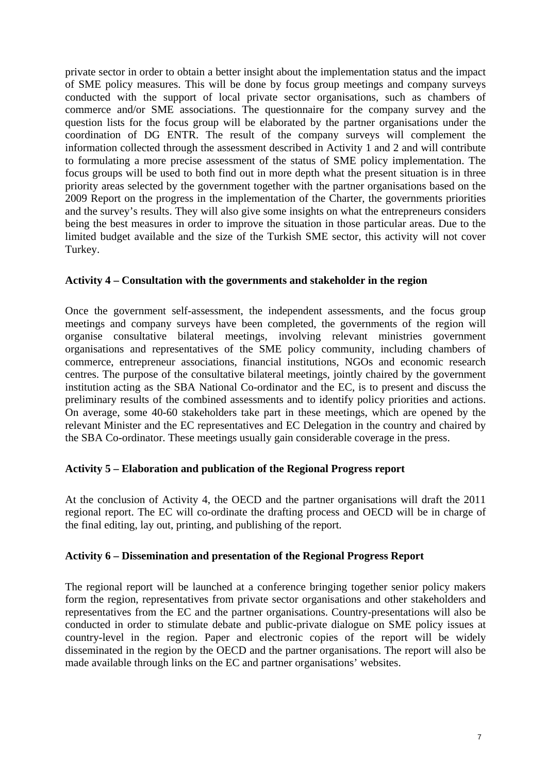private sector in order to obtain a better insight about the implementation status and the impact of SME policy measures. This will be done by focus group meetings and company surveys conducted with the support of local private sector organisations, such as chambers of commerce and/or SME associations. The questionnaire for the company survey and the question lists for the focus group will be elaborated by the partner organisations under the coordination of DG ENTR. The result of the company surveys will complement the information collected through the assessment described in Activity 1 and 2 and will contribute to formulating a more precise assessment of the status of SME policy implementation. The focus groups will be used to both find out in more depth what the present situation is in three priority areas selected by the government together with the partner organisations based on the 2009 Report on the progress in the implementation of the Charter, the governments priorities and the survey's results. They will also give some insights on what the entrepreneurs considers being the best measures in order to improve the situation in those particular areas. Due to the limited budget available and the size of the Turkish SME sector, this activity will not cover Turkey.

#### **Activity 4 – Consultation with the governments and stakeholder in the region**

Once the government self-assessment, the independent assessments, and the focus group meetings and company surveys have been completed, the governments of the region will organise consultative bilateral meetings, involving relevant ministries government organisations and representatives of the SME policy community, including chambers of commerce, entrepreneur associations, financial institutions, NGOs and economic research centres. The purpose of the consultative bilateral meetings, jointly chaired by the government institution acting as the SBA National Co-ordinator and the EC, is to present and discuss the preliminary results of the combined assessments and to identify policy priorities and actions. On average, some 40-60 stakeholders take part in these meetings, which are opened by the relevant Minister and the EC representatives and EC Delegation in the country and chaired by the SBA Co-ordinator. These meetings usually gain considerable coverage in the press.

#### **Activity 5 – Elaboration and publication of the Regional Progress report**

At the conclusion of Activity 4, the OECD and the partner organisations will draft the 2011 regional report. The EC will co-ordinate the drafting process and OECD will be in charge of the final editing, lay out, printing, and publishing of the report.

#### **Activity 6 – Dissemination and presentation of the Regional Progress Report**

The regional report will be launched at a conference bringing together senior policy makers form the region, representatives from private sector organisations and other stakeholders and representatives from the EC and the partner organisations. Country-presentations will also be conducted in order to stimulate debate and public-private dialogue on SME policy issues at country-level in the region. Paper and electronic copies of the report will be widely disseminated in the region by the OECD and the partner organisations. The report will also be made available through links on the EC and partner organisations' websites.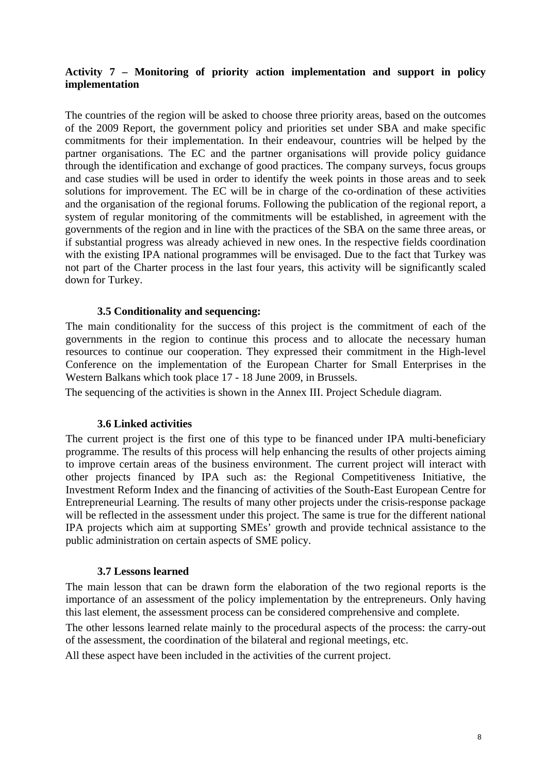#### **Activity 7 – Monitoring of priority action implementation and support in policy implementation**

The countries of the region will be asked to choose three priority areas, based on the outcomes of the 2009 Report, the government policy and priorities set under SBA and make specific commitments for their implementation. In their endeavour, countries will be helped by the partner organisations. The EC and the partner organisations will provide policy guidance through the identification and exchange of good practices. The company surveys, focus groups and case studies will be used in order to identify the week points in those areas and to seek solutions for improvement. The EC will be in charge of the co-ordination of these activities and the organisation of the regional forums. Following the publication of the regional report, a system of regular monitoring of the commitments will be established, in agreement with the governments of the region and in line with the practices of the SBA on the same three areas, or if substantial progress was already achieved in new ones. In the respective fields coordination with the existing IPA national programmes will be envisaged. Due to the fact that Turkey was not part of the Charter process in the last four years, this activity will be significantly scaled down for Turkey.

#### **3.5 Conditionality and sequencing:**

The main conditionality for the success of this project is the commitment of each of the governments in the region to continue this process and to allocate the necessary human resources to continue our cooperation. They expressed their commitment in the High-level Conference on the implementation of the European Charter for Small Enterprises in the Western Balkans which took place 17 - 18 June 2009, in Brussels.

The sequencing of the activities is shown in the Annex III. Project Schedule diagram.

#### **3.6 Linked activities**

The current project is the first one of this type to be financed under IPA multi-beneficiary programme. The results of this process will help enhancing the results of other projects aiming to improve certain areas of the business environment. The current project will interact with other projects financed by IPA such as: the Regional Competitiveness Initiative, the Investment Reform Index and the financing of activities of the South-East European Centre for Entrepreneurial Learning. The results of many other projects under the crisis-response package will be reflected in the assessment under this project. The same is true for the different national IPA projects which aim at supporting SMEs' growth and provide technical assistance to the public administration on certain aspects of SME policy.

#### **3.7 Lessons learned**

The main lesson that can be drawn form the elaboration of the two regional reports is the importance of an assessment of the policy implementation by the entrepreneurs. Only having this last element, the assessment process can be considered comprehensive and complete.

The other lessons learned relate mainly to the procedural aspects of the process: the carry-out of the assessment, the coordination of the bilateral and regional meetings, etc.

All these aspect have been included in the activities of the current project.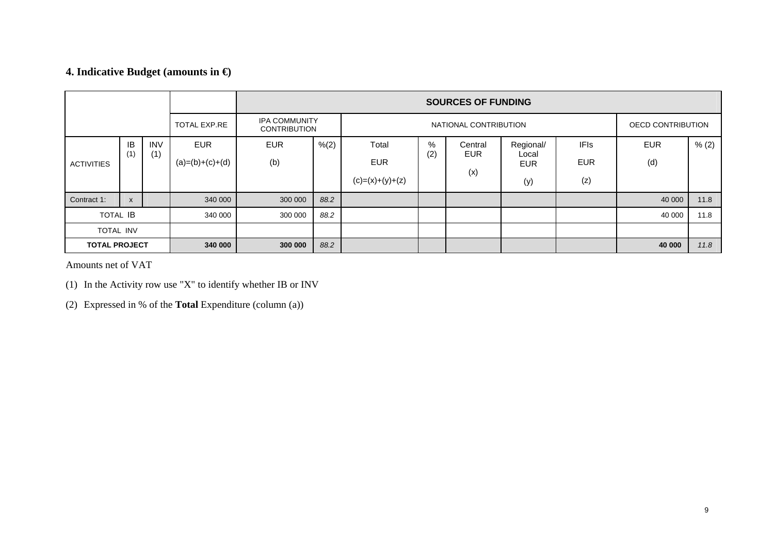## **4. Indicative Budget (amounts in €)**

|                      |                           |                     |                                             |            |                       |                   |     | <b>SOURCES OF FUNDING</b> |                     |             |            |       |
|----------------------|---------------------------|---------------------|---------------------------------------------|------------|-----------------------|-------------------|-----|---------------------------|---------------------|-------------|------------|-------|
|                      |                           | <b>TOTAL EXP.RE</b> | <b>IPA COMMUNITY</b><br><b>CONTRIBUTION</b> |            | NATIONAL CONTRIBUTION |                   |     | OECD CONTRIBUTION         |                     |             |            |       |
|                      | IB                        | <b>INV</b>          | <b>EUR</b>                                  | <b>EUR</b> | % (2)                 | Total             | %   | Central                   | Regional/           | <b>IFIs</b> | <b>EUR</b> | % (2) |
| <b>ACTIVITIES</b>    | (1)                       | (1)                 | $(a)=(b)+(c)+(d)$                           | (b)        |                       | <b>EUR</b>        | (2) | <b>EUR</b>                | Local<br><b>EUR</b> | <b>EUR</b>  | (d)        |       |
|                      |                           |                     |                                             |            |                       | $(c)=(x)+(y)+(z)$ |     | (x)                       | (y)                 | (z)         |            |       |
| Contract 1:          | $\boldsymbol{\mathsf{x}}$ |                     | 340 000                                     | 300 000    | 88.2                  |                   |     |                           |                     |             | 40 000     | 11.8  |
| <b>TOTAL IB</b>      |                           | 340 000             | 300 000                                     | 88.2       |                       |                   |     |                           |                     | 40 000      | 11.8       |       |
| <b>TOTAL INV</b>     |                           |                     |                                             |            |                       |                   |     |                           |                     |             |            |       |
| <b>TOTAL PROJECT</b> |                           |                     | 340 000                                     | 300 000    | 88.2                  |                   |     |                           |                     |             | 40 000     | 11.8  |

Amounts net of VAT

(1) In the Activity row use "X" to identify whether IB or INV

(2) Expressed in % of the **Total** Expenditure (column (a))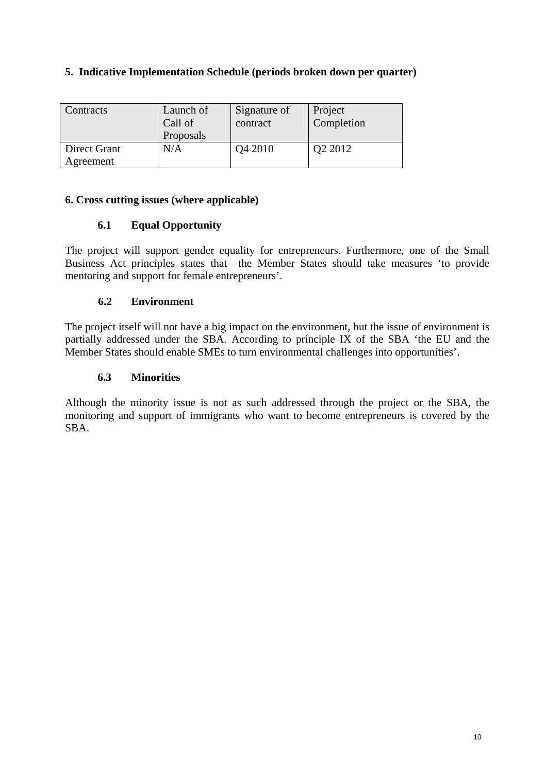### **5. Indicative Implementation Schedule (periods broken down per quarter)**

| Contracts                 | Launch of<br>Call of<br>Proposals | Signature of<br>contract | Project<br>Completion |
|---------------------------|-----------------------------------|--------------------------|-----------------------|
| Direct Grant<br>Agreement | N/A                               | Q4 2010                  | Q2 2012               |

#### **6. Cross cutting issues (where applicable)**

## **6.1 Equal Opportunity**

The project will support gender equality for entrepreneurs. Furthermore, one of the Small Business Act principles states that the Member States should take measures 'to provide mentoring and support for female entrepreneurs'.

## **6.2 Environment**

The project itself will not have a big impact on the environment, but the issue of environment is partially addressed under the SBA. According to principle IX of the SBA 'the EU and the Member States should enable SMEs to turn environmental challenges into opportunities'.

### **6.3 Minorities**

Although the minority issue is not as such addressed through the project or the SBA, the monitoring and support of immigrants who want to become entrepreneurs is covered by the SBA.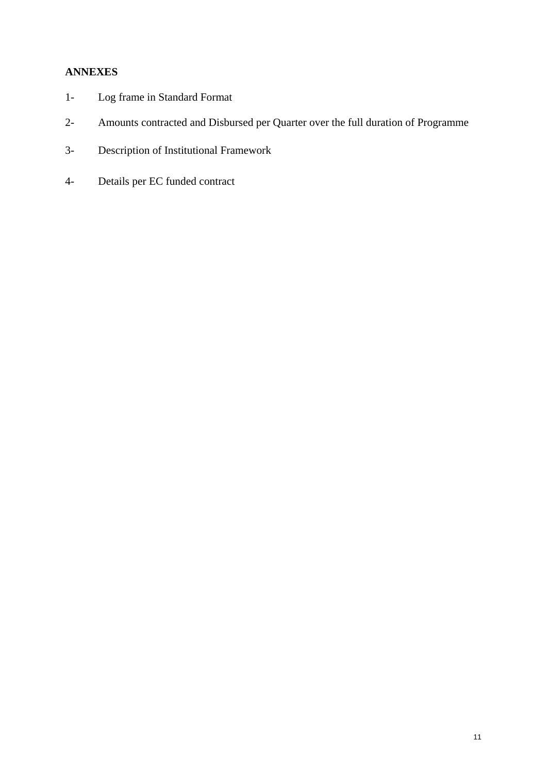## **ANNEXES**

- 1- Log frame in Standard Format
- 2- Amounts contracted and Disbursed per Quarter over the full duration of Programme
- 3- Description of Institutional Framework
- 4- Details per EC funded contract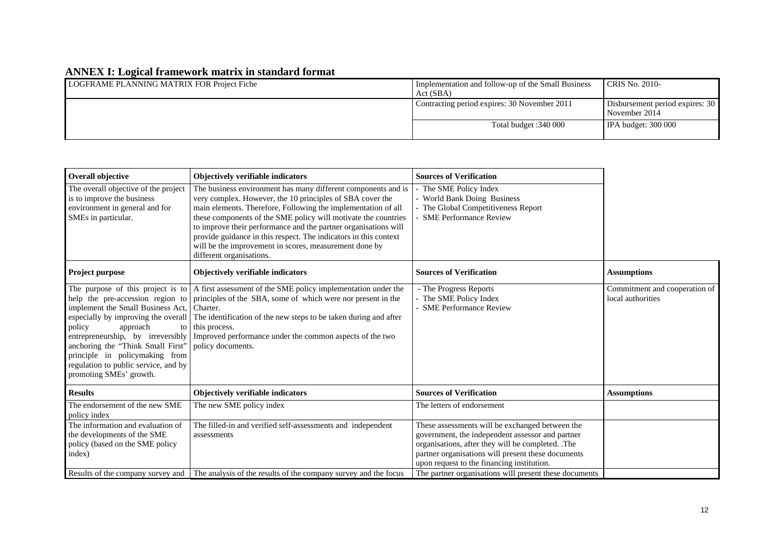## **ANNEX I: Logical framework matrix in standard format**

| LOGFRAME PLANNING MATRIX FOR Project Fiche | Implementation and follow-up of the Small Business<br>Act (SBA) | <b>CRIS No. 2010-</b>                            |
|--------------------------------------------|-----------------------------------------------------------------|--------------------------------------------------|
|                                            | Contracting period expires: 30 November 2011                    | Disbursement period expires: 30<br>November 2014 |
|                                            | Total budget :340 000                                           | IPA budget: $300000$                             |

| The business environment has many different components and is<br>very complex. However, the 10 principles of SBA cover the<br>main elements. Therefore, Following the implementation of all<br>these components of the SME policy will motivate the countries<br>to improve their performance and the partner organisations will<br>provide guidance in this respect. The indicators in this context<br>will be the improvement in scores, measurement done by<br>different organisations. | The SME Policy Index<br>- World Bank Doing Business<br>The Global Competitiveness Report<br><b>SME Performance Review</b>                                                                                                                                    |                                                        |
|--------------------------------------------------------------------------------------------------------------------------------------------------------------------------------------------------------------------------------------------------------------------------------------------------------------------------------------------------------------------------------------------------------------------------------------------------------------------------------------------|--------------------------------------------------------------------------------------------------------------------------------------------------------------------------------------------------------------------------------------------------------------|--------------------------------------------------------|
| <b>Objectively verifiable indicators</b>                                                                                                                                                                                                                                                                                                                                                                                                                                                   | <b>Sources of Verification</b>                                                                                                                                                                                                                               | <b>Assumptions</b>                                     |
| The purpose of this project is to $\vert$ A first assessment of the SME policy implementation under the<br>principles of the SBA, some of which were nor present in the<br>Charter.<br>The identification of the new steps to be taken during and after<br>this process.<br>Improved performance under the common aspects of the two<br>policy documents.                                                                                                                                  | - The Progress Reports<br>- The SME Policy Index<br><b>SME Performance Review</b>                                                                                                                                                                            | Commitment and cooperation of<br>local authorities     |
| Objectively verifiable indicators                                                                                                                                                                                                                                                                                                                                                                                                                                                          | <b>Sources of Verification</b>                                                                                                                                                                                                                               | <b>Assumptions</b>                                     |
| The new SME policy index                                                                                                                                                                                                                                                                                                                                                                                                                                                                   | The letters of endorsement                                                                                                                                                                                                                                   |                                                        |
| The filled-in and verified self-assessments and independent<br>assessments                                                                                                                                                                                                                                                                                                                                                                                                                 | These assessments will be exchanged between the<br>government, the independent assessor and partner<br>organisations, after they will be completed. .The<br>partner organisations will present these documents<br>upon request to the financing institution. |                                                        |
|                                                                                                                                                                                                                                                                                                                                                                                                                                                                                            | Results of the company survey and The analysis of the results of the company survey and the focus                                                                                                                                                            | The partner organisations will present these documents |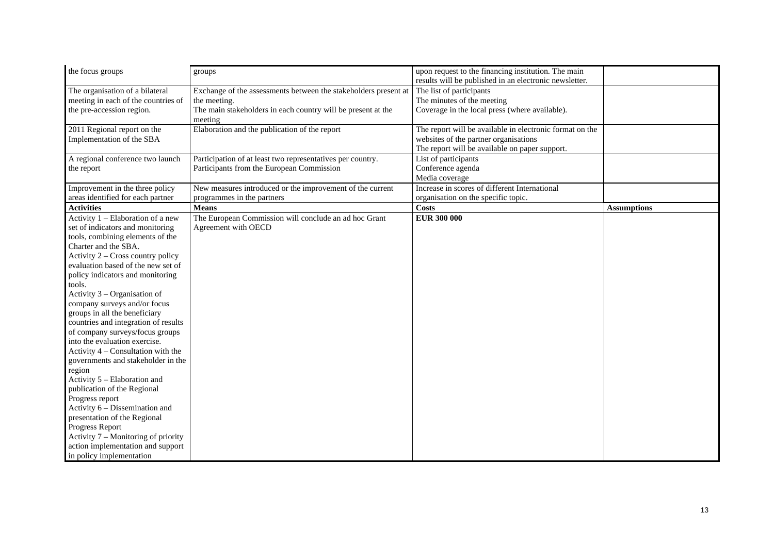| the focus groups                     | groups                                                          | upon request to the financing institution. The main      |                    |
|--------------------------------------|-----------------------------------------------------------------|----------------------------------------------------------|--------------------|
|                                      |                                                                 | results will be published in an electronic newsletter.   |                    |
| The organisation of a bilateral      | Exchange of the assessments between the stakeholders present at | The list of participants                                 |                    |
| meeting in each of the countries of  | the meeting.                                                    | The minutes of the meeting                               |                    |
| the pre-accession region.            | The main stakeholders in each country will be present at the    | Coverage in the local press (where available).           |                    |
|                                      | meeting                                                         |                                                          |                    |
| 2011 Regional report on the          | Elaboration and the publication of the report                   | The report will be available in electronic format on the |                    |
| Implementation of the SBA            |                                                                 | websites of the partner organisations                    |                    |
|                                      |                                                                 | The report will be available on paper support.           |                    |
| A regional conference two launch     | Participation of at least two representatives per country.      | List of participants                                     |                    |
| the report                           | Participants from the European Commission                       | Conference agenda                                        |                    |
|                                      |                                                                 | Media coverage                                           |                    |
| Improvement in the three policy      | New measures introduced or the improvement of the current       | Increase in scores of different International            |                    |
| areas identified for each partner    | programmes in the partners                                      | organisation on the specific topic.                      |                    |
| <b>Activities</b>                    | <b>Means</b>                                                    | Costs                                                    | <b>Assumptions</b> |
| Activity 1 - Elaboration of a new    | The European Commission will conclude an ad hoc Grant           | <b>EUR 300 000</b>                                       |                    |
| set of indicators and monitoring     | Agreement with OECD                                             |                                                          |                    |
| tools, combining elements of the     |                                                                 |                                                          |                    |
| Charter and the SBA.                 |                                                                 |                                                          |                    |
| Activity 2 – Cross country policy    |                                                                 |                                                          |                    |
| evaluation based of the new set of   |                                                                 |                                                          |                    |
| policy indicators and monitoring     |                                                                 |                                                          |                    |
| tools.                               |                                                                 |                                                          |                    |
| Activity 3 – Organisation of         |                                                                 |                                                          |                    |
| company surveys and/or focus         |                                                                 |                                                          |                    |
| groups in all the beneficiary        |                                                                 |                                                          |                    |
| countries and integration of results |                                                                 |                                                          |                    |
| of company surveys/focus groups      |                                                                 |                                                          |                    |
| into the evaluation exercise.        |                                                                 |                                                          |                    |
| Activity $4$ – Consultation with the |                                                                 |                                                          |                    |
| governments and stakeholder in the   |                                                                 |                                                          |                    |
| region                               |                                                                 |                                                          |                    |
| Activity 5 - Elaboration and         |                                                                 |                                                          |                    |
| publication of the Regional          |                                                                 |                                                          |                    |
| Progress report                      |                                                                 |                                                          |                    |
| Activity 6 – Dissemination and       |                                                                 |                                                          |                    |
| presentation of the Regional         |                                                                 |                                                          |                    |
| Progress Report                      |                                                                 |                                                          |                    |
| Activity 7 – Monitoring of priority  |                                                                 |                                                          |                    |
| action implementation and support    |                                                                 |                                                          |                    |
| in policy implementation             |                                                                 |                                                          |                    |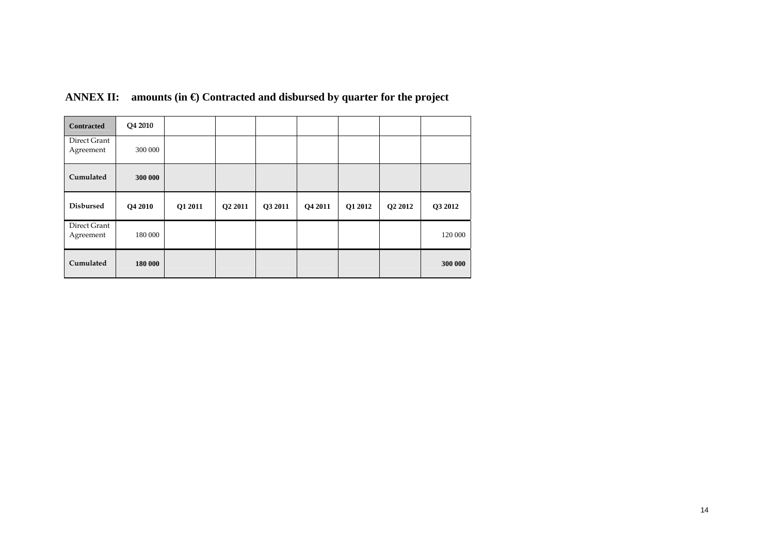| <b>Contracted</b>         | Q4 2010 |         |         |         |         |         |         |         |
|---------------------------|---------|---------|---------|---------|---------|---------|---------|---------|
| Direct Grant<br>Agreement | 300 000 |         |         |         |         |         |         |         |
| Cumulated                 | 300 000 |         |         |         |         |         |         |         |
| <b>Disbursed</b>          | Q4 2010 | Q1 2011 | Q2 2011 | Q3 2011 | Q4 2011 | Q1 2012 | Q2 2012 | Q3 2012 |
| Direct Grant<br>Agreement | 180 000 |         |         |         |         |         |         | 120 000 |
| Cumulated                 |         |         |         |         |         |         |         |         |

# **ANNEX II: amounts (in €) Contracted and disbursed by quarter for the project**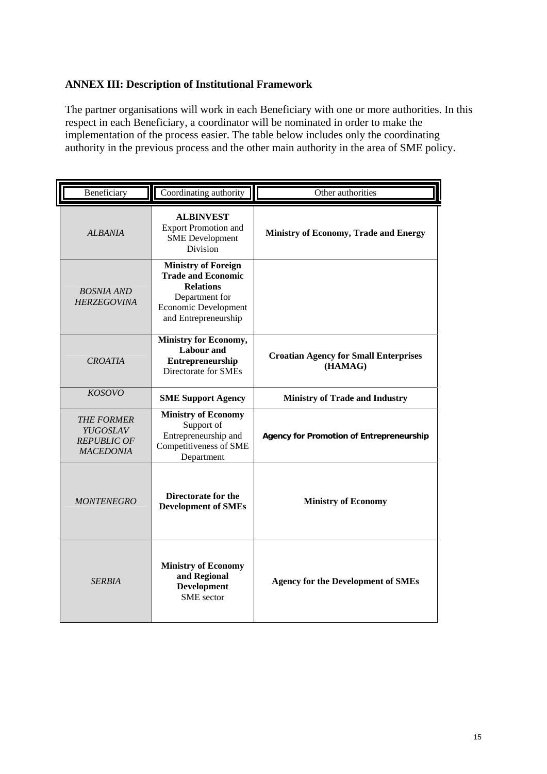#### **ANNEX III: Description of Institutional Framework**

The partner organisations will work in each Beneficiary with one or more authorities. In this respect in each Beneficiary, a coordinator will be nominated in order to make the implementation of the process easier. The table below includes only the coordinating authority in the previous process and the other main authority in the area of SME policy.

| Beneficiary                                                             | Coordinating authority                                                                                                                               | Other authorities                                       |
|-------------------------------------------------------------------------|------------------------------------------------------------------------------------------------------------------------------------------------------|---------------------------------------------------------|
| <b>ALBANIA</b>                                                          | <b>ALBINVEST</b><br><b>Export Promotion and</b><br><b>SME</b> Development<br>Division                                                                | <b>Ministry of Economy, Trade and Energy</b>            |
| <b>BOSNIA AND</b><br><b>HERZEGOVINA</b>                                 | <b>Ministry of Foreign</b><br><b>Trade and Economic</b><br><b>Relations</b><br>Department for<br><b>Economic Development</b><br>and Entrepreneurship |                                                         |
| <b>CROATIA</b>                                                          | Ministry for Economy,<br><b>Labour</b> and<br>Entrepreneurship<br>Directorate for SMEs                                                               | <b>Croatian Agency for Small Enterprises</b><br>(HAMAG) |
| <b>KOSOVO</b>                                                           | <b>SME Support Agency</b>                                                                                                                            | <b>Ministry of Trade and Industry</b>                   |
| <b>THE FORMER</b><br>YUGOSLAV<br><b>REPUBLIC OF</b><br><b>MACEDONIA</b> | <b>Ministry of Economy</b><br>Support of<br>Entrepreneurship and<br>Competitiveness of SME<br>Department                                             | <b>Agency for Promotion of Entrepreneurship</b>         |
| <b>MONTENEGRO</b>                                                       | Directorate for the<br><b>Development of SMEs</b>                                                                                                    | <b>Ministry of Economy</b>                              |
| <b>SERBIA</b>                                                           | <b>Ministry of Economy</b><br>and Regional<br><b>Development</b><br><b>SME</b> sector                                                                | <b>Agency for the Development of SMEs</b>               |